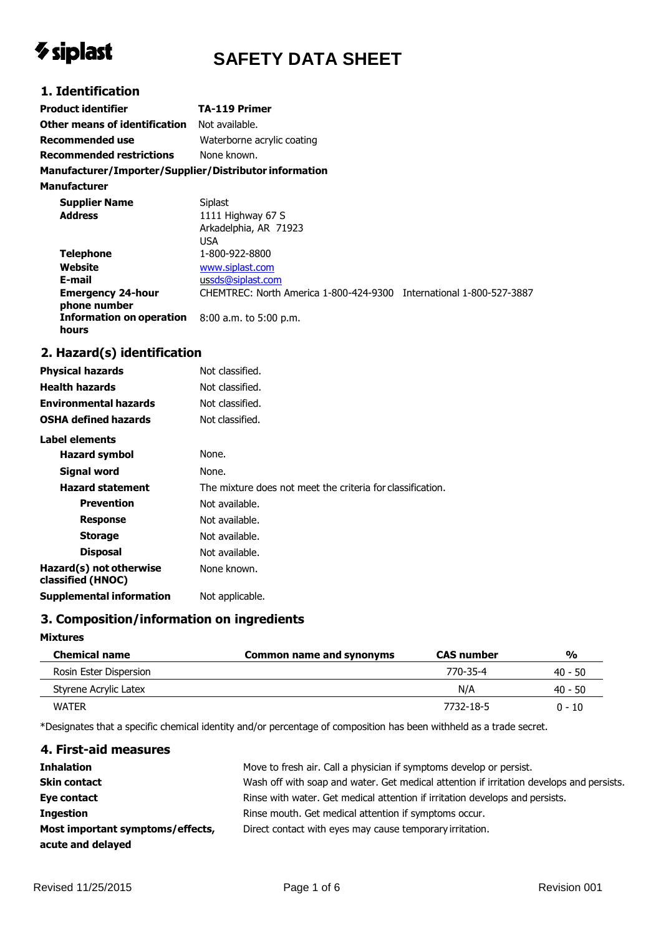# *V* siplast

# **SAFETY DATA SHEET**

### **1. Identification**

| <b>Product identifier</b>                              | TA-119 Primer                                                       |  |
|--------------------------------------------------------|---------------------------------------------------------------------|--|
| Other means of identification                          | Not available.                                                      |  |
| Recommended use                                        | Waterborne acrylic coating                                          |  |
| <b>Recommended restrictions</b>                        | None known.                                                         |  |
| Manufacturer/Importer/Supplier/Distributor information |                                                                     |  |
| <b>Manufacturer</b>                                    |                                                                     |  |
| <b>Supplier Name</b>                                   | Siplast                                                             |  |
| <b>Address</b>                                         | 1111 Highway 67 S<br>Arkadelphia, AR 71923<br>USA                   |  |
| <b>Telephone</b>                                       | 1-800-922-8800                                                      |  |
| Website                                                | www.siplast.com                                                     |  |
| E-mail                                                 | ussds@siplast.com                                                   |  |
| <b>Emergency 24-hour</b><br>phone number               | CHEMTREC: North America 1-800-424-9300 International 1-800-527-3887 |  |
| <b>Information on operation</b>                        | 8:00 a.m. to 5:00 p.m.                                              |  |

### **2. Hazard(s) identification**

**hours**

| <b>Physical hazards</b>                      | Not classified.                                            |
|----------------------------------------------|------------------------------------------------------------|
| <b>Health hazards</b>                        | Not classified.                                            |
| <b>Environmental hazards</b>                 | Not classified.                                            |
| <b>OSHA defined hazards</b>                  | Not classified.                                            |
| Label elements                               |                                                            |
| Hazard symbol                                | None.                                                      |
| Signal word                                  | None.                                                      |
| <b>Hazard statement</b>                      | The mixture does not meet the criteria for classification. |
| <b>Prevention</b>                            | Not available.                                             |
| <b>Response</b>                              | Not available.                                             |
| <b>Storage</b>                               | Not available.                                             |
| <b>Disposal</b>                              | Not available.                                             |
| Hazard(s) not otherwise<br>classified (HNOC) | None known.                                                |
| <b>Supplemental information</b>              | Not applicable.                                            |

### **3. Composition/information on ingredients**

#### **Mixtures**

| <b>Chemical name</b>   | Common name and synonyms | <b>CAS number</b> | $\frac{0}{0}$ |
|------------------------|--------------------------|-------------------|---------------|
| Rosin Ester Dispersion |                          | 770-35-4          | 40 - 50       |
| Styrene Acrylic Latex  |                          | N/A               | $40 - 50$     |
| <b>WATFR</b>           |                          | 7732-18-5         | $0 - 10$      |

\*Designates that a specific chemical identity and/or percentage of composition has been withheld as a trade secret.

### **4. First-aid measures Inhalation** Move to fresh air. Call a physician if symptoms develop or persist. **Skin contact** Wash off with soap and water. Get medical attention if irritation develops and persists. **Eye contact Ringe With water. Get medical attention if irritation develops and persists. Ingestion** Rinse mouth. Get medical attention if symptoms occur. **Most important symptoms/effects, Direct contact with eyes may cause temporary irritation. acute and delayed**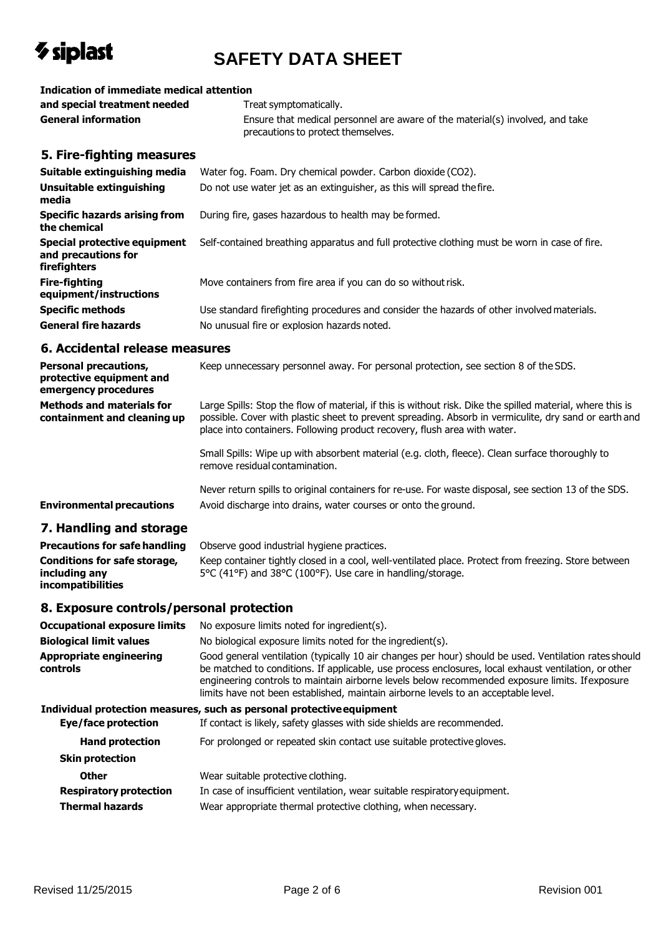# *V* siplast

# **SAFETY DATA SHEET**

| <b>Indication of immediate medical attention</b>                                 |                                                                                                                                                                                                                                                                                                                                                                                                        |  |
|----------------------------------------------------------------------------------|--------------------------------------------------------------------------------------------------------------------------------------------------------------------------------------------------------------------------------------------------------------------------------------------------------------------------------------------------------------------------------------------------------|--|
| and special treatment needed<br><b>General information</b>                       | Treat symptomatically.                                                                                                                                                                                                                                                                                                                                                                                 |  |
|                                                                                  | Ensure that medical personnel are aware of the material(s) involved, and take<br>precautions to protect themselves.                                                                                                                                                                                                                                                                                    |  |
| 5. Fire-fighting measures                                                        |                                                                                                                                                                                                                                                                                                                                                                                                        |  |
| Suitable extinguishing media                                                     | Water fog. Foam. Dry chemical powder. Carbon dioxide (CO2).                                                                                                                                                                                                                                                                                                                                            |  |
| <b>Unsuitable extinguishing</b><br>media                                         | Do not use water jet as an extinguisher, as this will spread the fire.                                                                                                                                                                                                                                                                                                                                 |  |
| <b>Specific hazards arising from</b><br>the chemical                             | During fire, gases hazardous to health may be formed.                                                                                                                                                                                                                                                                                                                                                  |  |
| <b>Special protective equipment</b><br>and precautions for<br>firefighters       | Self-contained breathing apparatus and full protective clothing must be worn in case of fire.                                                                                                                                                                                                                                                                                                          |  |
| <b>Fire-fighting</b><br>equipment/instructions                                   | Move containers from fire area if you can do so without risk.                                                                                                                                                                                                                                                                                                                                          |  |
| <b>Specific methods</b>                                                          | Use standard firefighting procedures and consider the hazards of other involved materials.                                                                                                                                                                                                                                                                                                             |  |
| <b>General fire hazards</b>                                                      | No unusual fire or explosion hazards noted.                                                                                                                                                                                                                                                                                                                                                            |  |
| 6. Accidental release measures                                                   |                                                                                                                                                                                                                                                                                                                                                                                                        |  |
| <b>Personal precautions,</b><br>protective equipment and<br>emergency procedures | Keep unnecessary personnel away. For personal protection, see section 8 of the SDS.                                                                                                                                                                                                                                                                                                                    |  |
| <b>Methods and materials for</b><br>containment and cleaning up                  | Large Spills: Stop the flow of material, if this is without risk. Dike the spilled material, where this is<br>possible. Cover with plastic sheet to prevent spreading. Absorb in vermiculite, dry sand or earth and<br>place into containers. Following product recovery, flush area with water.                                                                                                       |  |
|                                                                                  | Small Spills: Wipe up with absorbent material (e.g. cloth, fleece). Clean surface thoroughly to<br>remove residual contamination.                                                                                                                                                                                                                                                                      |  |
|                                                                                  | Never return spills to original containers for re-use. For waste disposal, see section 13 of the SDS.                                                                                                                                                                                                                                                                                                  |  |
| <b>Environmental precautions</b>                                                 | Avoid discharge into drains, water courses or onto the ground.                                                                                                                                                                                                                                                                                                                                         |  |
| 7. Handling and storage                                                          |                                                                                                                                                                                                                                                                                                                                                                                                        |  |
| <b>Precautions for safe handling</b>                                             | Observe good industrial hygiene practices.                                                                                                                                                                                                                                                                                                                                                             |  |
| <b>Conditions for safe storage,</b><br>including any<br>incompatibilities        | Keep container tightly closed in a cool, well-ventilated place. Protect from freezing. Store between<br>5°C (41°F) and 38°C (100°F). Use care in handling/storage.                                                                                                                                                                                                                                     |  |
| 8. Exposure controls/personal protection                                         |                                                                                                                                                                                                                                                                                                                                                                                                        |  |
| <b>Occupational exposure limits</b>                                              | No exposure limits noted for ingredient(s).                                                                                                                                                                                                                                                                                                                                                            |  |
| <b>Biological limit values</b>                                                   | No biological exposure limits noted for the ingredient(s).                                                                                                                                                                                                                                                                                                                                             |  |
| <b>Appropriate engineering</b><br>controls                                       | Good general ventilation (typically 10 air changes per hour) should be used. Ventilation rates should<br>be matched to conditions. If applicable, use process enclosures, local exhaust ventilation, or other<br>engineering controls to maintain airborne levels below recommended exposure limits. If exposure<br>limits have not been established, maintain airborne levels to an acceptable level. |  |
|                                                                                  | Individual protection measures, such as personal protective equipment                                                                                                                                                                                                                                                                                                                                  |  |
| <b>Eye/face protection</b>                                                       | If contact is likely, safety glasses with side shields are recommended.                                                                                                                                                                                                                                                                                                                                |  |
| <b>Hand protection</b>                                                           | For prolonged or repeated skin contact use suitable protective gloves.                                                                                                                                                                                                                                                                                                                                 |  |
| <b>Skin protection</b>                                                           |                                                                                                                                                                                                                                                                                                                                                                                                        |  |
| <b>Other</b>                                                                     | Wear suitable protective clothing.                                                                                                                                                                                                                                                                                                                                                                     |  |
| <b>Respiratory protection</b>                                                    | In case of insufficient ventilation, wear suitable respiratory equipment.                                                                                                                                                                                                                                                                                                                              |  |
| <b>Thermal hazards</b>                                                           | Wear appropriate thermal protective clothing, when necessary.                                                                                                                                                                                                                                                                                                                                          |  |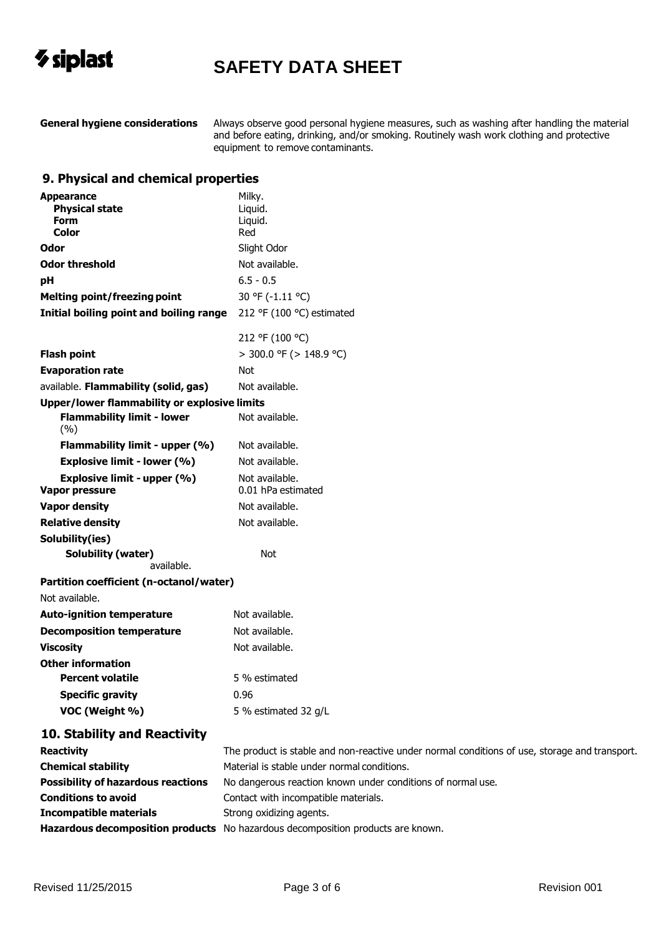

**General hygiene considerations** Always observe good personal hygiene measures, such as washing after handling the material and before eating, drinking, and/or smoking. Routinely wash work clothing and protective equipment to remove contaminants.

### **9. Physical and chemical properties**

| Appearance                                                  | Milky.                               |  |
|-------------------------------------------------------------|--------------------------------------|--|
| <b>Physical state</b>                                       | Liquid.                              |  |
| Form<br>Color                                               | Liquid.<br>Red                       |  |
| Odor                                                        | Slight Odor                          |  |
| <b>Odor threshold</b>                                       | Not available.                       |  |
| рH                                                          | $6.5 - 0.5$                          |  |
| <b>Melting point/freezing point</b>                         | 30 °F (-1.11 °C)                     |  |
| Initial boiling point and boiling range                     | 212 °F (100 °C) estimated            |  |
|                                                             |                                      |  |
|                                                             | 212 °F (100 °C)                      |  |
| <b>Flash point</b>                                          | > 300.0 °F (> 148.9 °C)              |  |
| <b>Evaporation rate</b>                                     | Not                                  |  |
| available. Flammability (solid, gas)                        | Not available.                       |  |
| Upper/lower flammability or explosive limits                |                                      |  |
| <b>Flammability limit - lower</b><br>(%)                    | Not available.                       |  |
| Flammability limit - upper (%)                              | Not available.                       |  |
| <b>Explosive limit - lower (%)</b>                          | Not available.                       |  |
| <b>Explosive limit - upper (%)</b><br><b>Vapor pressure</b> | Not available.<br>0.01 hPa estimated |  |
| <b>Vapor density</b>                                        | Not available.                       |  |
| <b>Relative density</b>                                     | Not available.                       |  |
| Solubility(ies)                                             |                                      |  |
| Solubility (water)                                          | Not                                  |  |
| available.                                                  |                                      |  |
| Partition coefficient (n-octanol/water)                     |                                      |  |
| Not available.                                              |                                      |  |
| <b>Auto-ignition temperature</b>                            | Not available.                       |  |
| <b>Decomposition temperature</b>                            | Not available.                       |  |
| <b>Viscosity</b>                                            | Not available.                       |  |
| <b>Other information</b>                                    |                                      |  |
| <b>Percent volatile</b>                                     | 5 % estimated                        |  |
| <b>Specific gravity</b>                                     | 0.96                                 |  |
| VOC (Weight %)                                              | 5 % estimated 32 g/L                 |  |

### **10. Stability and Reactivity**

| <b>Reactivity</b>                         | The product is stable and non-reactive under normal conditions of use, storage and transport. |
|-------------------------------------------|-----------------------------------------------------------------------------------------------|
| <b>Chemical stability</b>                 | Material is stable under normal conditions.                                                   |
| <b>Possibility of hazardous reactions</b> | No dangerous reaction known under conditions of normal use.                                   |
| <b>Conditions to avoid</b>                | Contact with incompatible materials.                                                          |
| <b>Incompatible materials</b>             | Strong oxidizing agents.                                                                      |
|                                           | Hazardous decomposition products No hazardous decomposition products are known.               |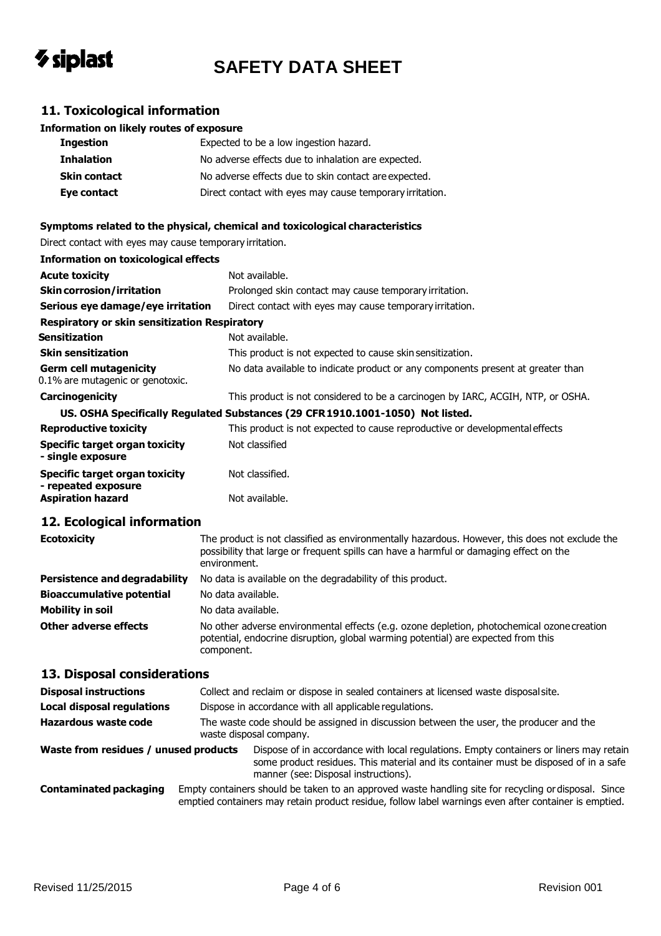

### **11. Toxicological information**

#### **Information on likely routes of exposure**

| <b>Ingestion</b>    | Expected to be a low ingestion hazard.                   |
|---------------------|----------------------------------------------------------|
| <b>Inhalation</b>   | No adverse effects due to inhalation are expected.       |
| <b>Skin contact</b> | No adverse effects due to skin contact are expected.     |
| Eye contact         | Direct contact with eyes may cause temporary irritation. |

### **Symptoms related to the physical, chemical and toxicological characteristics**

Direct contact with eyes may cause temporary irritation.

| <b>Information on toxicological effects</b>                       |                                                                                 |
|-------------------------------------------------------------------|---------------------------------------------------------------------------------|
| <b>Acute toxicity</b>                                             | Not available.                                                                  |
| <b>Skin corrosion/irritation</b>                                  | Prolonged skin contact may cause temporary irritation.                          |
| Serious eye damage/eye irritation                                 | Direct contact with eyes may cause temporary irritation.                        |
| <b>Respiratory or skin sensitization Respiratory</b>              |                                                                                 |
| Sensitization                                                     | Not available.                                                                  |
| <b>Skin sensitization</b>                                         | This product is not expected to cause skin sensitization.                       |
| <b>Germ cell mutagenicity</b><br>0.1% are mutagenic or genotoxic. | No data available to indicate product or any components present at greater than |
| Carcinogenicity                                                   | This product is not considered to be a carcinogen by IARC, ACGIH, NTP, or OSHA. |
|                                                                   | US. OSHA Specifically Regulated Substances (29 CFR 1910.1001-1050) Not listed.  |
| <b>Reproductive toxicity</b>                                      | This product is not expected to cause reproductive or developmental effects     |
| <b>Specific target organ toxicity</b><br>- single exposure        | Not classified                                                                  |
| Specific target organ toxicity<br>- repeated exposure             | Not classified.                                                                 |
| <b>Aspiration hazard</b>                                          | Not available.                                                                  |

### **12. Ecological information**

| <b>Ecotoxicity</b>                   | The product is not classified as environmentally hazardous. However, this does not exclude the<br>possibility that large or frequent spills can have a harmful or damaging effect on the<br>environment. |
|--------------------------------------|----------------------------------------------------------------------------------------------------------------------------------------------------------------------------------------------------------|
| <b>Persistence and degradability</b> | No data is available on the degradability of this product.                                                                                                                                               |
| <b>Bioaccumulative potential</b>     | No data available.                                                                                                                                                                                       |
| <b>Mobility in soil</b>              | No data available.                                                                                                                                                                                       |
| <b>Other adverse effects</b>         | No other adverse environmental effects (e.g. ozone depletion, photochemical ozone creation<br>potential, endocrine disruption, global warming potential) are expected from this<br>component.            |

#### **13. Disposal considerations**

| <b>Disposal instructions</b>          | Collect and reclaim or dispose in sealed containers at licensed waste disposal site.                                                                                                                                   |  |
|---------------------------------------|------------------------------------------------------------------------------------------------------------------------------------------------------------------------------------------------------------------------|--|
| Local disposal regulations            | Dispose in accordance with all applicable regulations.                                                                                                                                                                 |  |
| <b>Hazardous waste code</b>           | The waste code should be assigned in discussion between the user, the producer and the<br>waste disposal company.                                                                                                      |  |
| Waste from residues / unused products | Dispose of in accordance with local regulations. Empty containers or liners may retain<br>some product residues. This material and its container must be disposed of in a safe<br>manner (see: Disposal instructions). |  |
| <b>Contaminated packaging</b>         | Empty containers should be taken to an approved waste handling site for recycling or disposal. Since<br>emptied containers may retain product residue, follow label warnings even after container is emptied.          |  |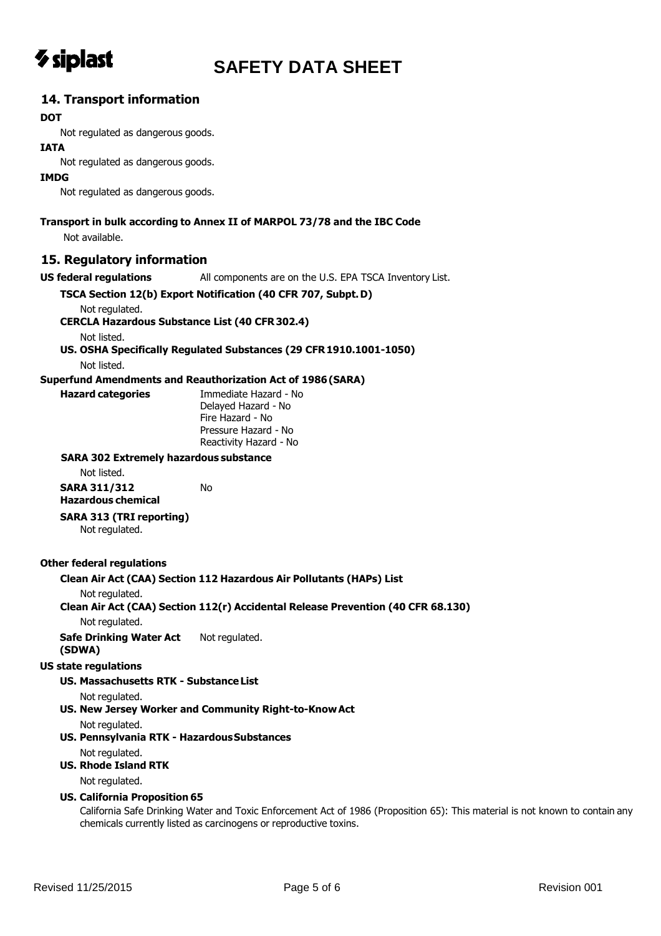

| 14. Transport information                                     |                                                                                                                                                                                                   |
|---------------------------------------------------------------|---------------------------------------------------------------------------------------------------------------------------------------------------------------------------------------------------|
| <b>DOT</b>                                                    |                                                                                                                                                                                                   |
| Not regulated as dangerous goods.                             |                                                                                                                                                                                                   |
| <b>IATA</b>                                                   |                                                                                                                                                                                                   |
| Not regulated as dangerous goods.                             |                                                                                                                                                                                                   |
| <b>IMDG</b>                                                   |                                                                                                                                                                                                   |
| Not regulated as dangerous goods.                             |                                                                                                                                                                                                   |
|                                                               | Transport in bulk according to Annex II of MARPOL 73/78 and the IBC Code                                                                                                                          |
| Not available.                                                |                                                                                                                                                                                                   |
| 15. Regulatory information                                    |                                                                                                                                                                                                   |
| <b>US federal regulations</b>                                 | All components are on the U.S. EPA TSCA Inventory List.                                                                                                                                           |
|                                                               | TSCA Section 12(b) Export Notification (40 CFR 707, Subpt. D)                                                                                                                                     |
| Not regulated.                                                |                                                                                                                                                                                                   |
| <b>CERCLA Hazardous Substance List (40 CFR 302.4)</b>         |                                                                                                                                                                                                   |
| Not listed.                                                   |                                                                                                                                                                                                   |
|                                                               | US. OSHA Specifically Regulated Substances (29 CFR 1910.1001-1050)                                                                                                                                |
| Not listed.                                                   |                                                                                                                                                                                                   |
|                                                               | <b>Superfund Amendments and Reauthorization Act of 1986 (SARA)</b>                                                                                                                                |
| <b>Hazard categories</b>                                      | Immediate Hazard - No<br>Delayed Hazard - No                                                                                                                                                      |
|                                                               | Fire Hazard - No                                                                                                                                                                                  |
|                                                               | Pressure Hazard - No                                                                                                                                                                              |
|                                                               | Reactivity Hazard - No                                                                                                                                                                            |
| <b>SARA 302 Extremely hazardous substance</b>                 |                                                                                                                                                                                                   |
| Not listed.                                                   |                                                                                                                                                                                                   |
| <b>SARA 311/312</b><br><b>Hazardous chemical</b>              | No                                                                                                                                                                                                |
| <b>SARA 313 (TRI reporting)</b><br>Not regulated.             |                                                                                                                                                                                                   |
| <b>Other federal regulations</b>                              |                                                                                                                                                                                                   |
|                                                               | Clean Air Act (CAA) Section 112 Hazardous Air Pollutants (HAPs) List                                                                                                                              |
| Not regulated.                                                | Clean Air Act (CAA) Section 112(r) Accidental Release Prevention (40 CFR 68.130)                                                                                                                  |
| Not regulated.                                                |                                                                                                                                                                                                   |
| <b>Safe Drinking Water Act</b>                                | Not regulated.                                                                                                                                                                                    |
| (SDWA)                                                        |                                                                                                                                                                                                   |
| <b>US state regulations</b>                                   |                                                                                                                                                                                                   |
| <b>US. Massachusetts RTK - Substance List</b>                 |                                                                                                                                                                                                   |
| Not regulated.                                                |                                                                                                                                                                                                   |
|                                                               | US. New Jersey Worker and Community Right-to-Know Act                                                                                                                                             |
| Not regulated.<br>US. Pennsylvania RTK - Hazardous Substances |                                                                                                                                                                                                   |
| Not regulated.                                                |                                                                                                                                                                                                   |
| <b>US. Rhode Island RTK</b>                                   |                                                                                                                                                                                                   |
| Not regulated.                                                |                                                                                                                                                                                                   |
| <b>US. California Proposition 65</b>                          | California Safe Drinking Water and Toxic Enforcement Act of 1986 (Proposition 65): This material is not known to contain any<br>chemicals currently listed as carcinogens or reproductive toxins. |
|                                                               |                                                                                                                                                                                                   |